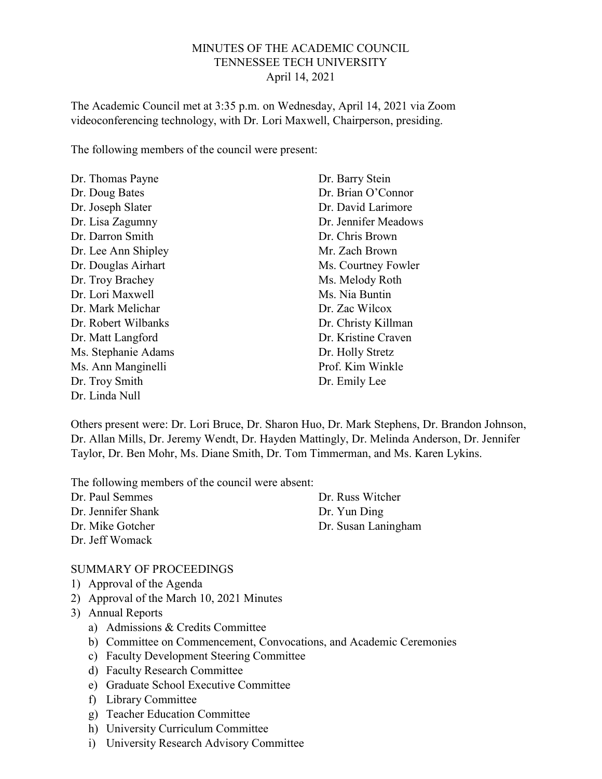#### MINUTES OF THE ACADEMIC COUNCIL TENNESSEE TECH UNIVERSITY April 14, 2021

The Academic Council met at 3:35 p.m. on Wednesday, April 14, 2021 via Zoom videoconferencing technology, with Dr. Lori Maxwell, Chairperson, presiding.

The following members of the council were present:

| Dr. Thomas Payne    | Dr. Barry Stein      |
|---------------------|----------------------|
| Dr. Doug Bates      | Dr. Brian O'Connor   |
| Dr. Joseph Slater   | Dr. David Larimore   |
| Dr. Lisa Zagumny    | Dr. Jennifer Meadows |
| Dr. Darron Smith    | Dr. Chris Brown      |
| Dr. Lee Ann Shipley | Mr. Zach Brown       |
| Dr. Douglas Airhart | Ms. Courtney Fowler  |
| Dr. Troy Brachey    | Ms. Melody Roth      |
| Dr. Lori Maxwell    | Ms. Nia Buntin       |
| Dr. Mark Melichar   | Dr. Zac Wilcox       |
| Dr. Robert Wilbanks | Dr. Christy Killman  |
| Dr. Matt Langford   | Dr. Kristine Craven  |
| Ms. Stephanie Adams | Dr. Holly Stretz     |
| Ms. Ann Manginelli  | Prof. Kim Winkle     |
| Dr. Troy Smith      | Dr. Emily Lee        |
| Dr. Linda Null      |                      |

Others present were: Dr. Lori Bruce, Dr. Sharon Huo, Dr. Mark Stephens, Dr. Brandon Johnson, Dr. Allan Mills, Dr. Jeremy Wendt, Dr. Hayden Mattingly, Dr. Melinda Anderson, Dr. Jennifer Taylor, Dr. Ben Mohr, Ms. Diane Smith, Dr. Tom Timmerman, and Ms. Karen Lykins.

The following members of the council were absent:

Dr. Paul Semmes Dr. Jennifer Shank Dr. Mike Gotcher Dr. Jeff Womack

Dr. Russ Witcher Dr. Yun Ding Dr. Susan Laningham

#### SUMMARY OF PROCEEDINGS

- 1) Approval of the Agenda
- 2) Approval of the March 10, 2021 Minutes
- 3) Annual Reports
	- a) Admissions & Credits Committee
	- b) Committee on Commencement, Convocations, and Academic Ceremonies
	- c) Faculty Development Steering Committee
	- d) Faculty Research Committee
	- e) Graduate School Executive Committee
	- f) Library Committee
	- g) Teacher Education Committee
	- h) University Curriculum Committee
	- i) University Research Advisory Committee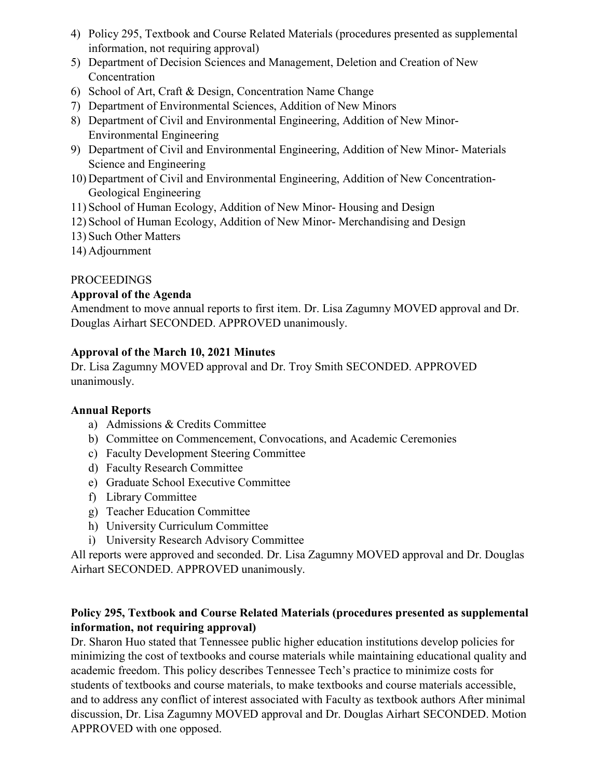- 4) Policy 295, Textbook and Course Related Materials (procedures presented as supplemental information, not requiring approval)
- 5) Department of Decision Sciences and Management, Deletion and Creation of New Concentration
- 6) School of Art, Craft & Design, Concentration Name Change
- 7) Department of Environmental Sciences, Addition of New Minors
- 8) Department of Civil and Environmental Engineering, Addition of New Minor-Environmental Engineering
- 9) Department of Civil and Environmental Engineering, Addition of New Minor- Materials Science and Engineering
- 10) Department of Civil and Environmental Engineering, Addition of New Concentration-Geological Engineering
- 11) School of Human Ecology, Addition of New Minor- Housing and Design
- 12) School of Human Ecology, Addition of New Minor- Merchandising and Design
- 13) Such Other Matters
- 14) Adjournment

## PROCEEDINGS

## Approval of the Agenda

Amendment to move annual reports to first item. Dr. Lisa Zagumny MOVED approval and Dr. Douglas Airhart SECONDED. APPROVED unanimously.

## Approval of the March 10, 2021 Minutes

Dr. Lisa Zagumny MOVED approval and Dr. Troy Smith SECONDED. APPROVED unanimously.

#### Annual Reports

- a) Admissions & Credits Committee
- b) Committee on Commencement, Convocations, and Academic Ceremonies
- c) Faculty Development Steering Committee
- d) Faculty Research Committee
- e) Graduate School Executive Committee
- f) Library Committee
- g) Teacher Education Committee
- h) University Curriculum Committee
- i) University Research Advisory Committee

All reports were approved and seconded. Dr. Lisa Zagumny MOVED approval and Dr. Douglas Airhart SECONDED. APPROVED unanimously.

# Policy 295, Textbook and Course Related Materials (procedures presented as supplemental information, not requiring approval)

Dr. Sharon Huo stated that Tennessee public higher education institutions develop policies for minimizing the cost of textbooks and course materials while maintaining educational quality and academic freedom. This policy describes Tennessee Tech's practice to minimize costs for students of textbooks and course materials, to make textbooks and course materials accessible, and to address any conflict of interest associated with Faculty as textbook authors After minimal discussion, Dr. Lisa Zagumny MOVED approval and Dr. Douglas Airhart SECONDED. Motion APPROVED with one opposed.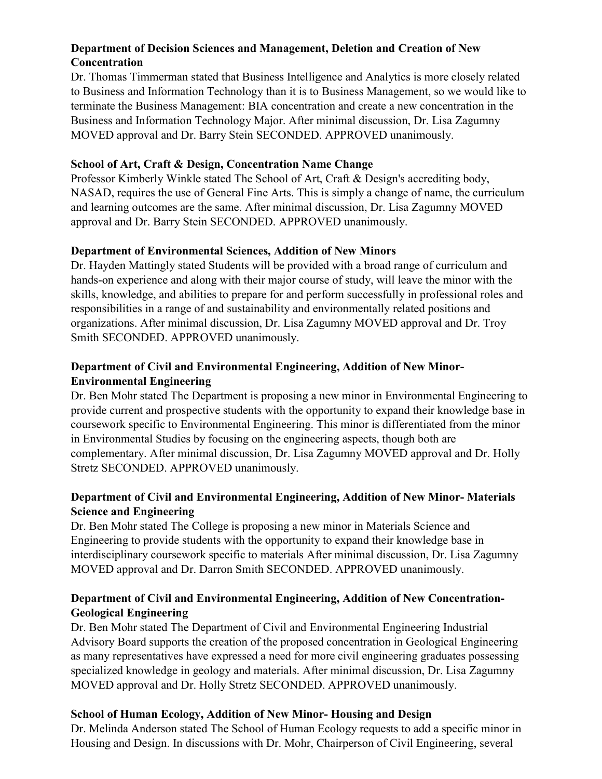## Department of Decision Sciences and Management, Deletion and Creation of New **Concentration**

Dr. Thomas Timmerman stated that Business Intelligence and Analytics is more closely related to Business and Information Technology than it is to Business Management, so we would like to terminate the Business Management: BIA concentration and create a new concentration in the Business and Information Technology Major. After minimal discussion, Dr. Lisa Zagumny MOVED approval and Dr. Barry Stein SECONDED. APPROVED unanimously.

## School of Art, Craft & Design, Concentration Name Change

Professor Kimberly Winkle stated The School of Art, Craft & Design's accrediting body, NASAD, requires the use of General Fine Arts. This is simply a change of name, the curriculum and learning outcomes are the same. After minimal discussion, Dr. Lisa Zagumny MOVED approval and Dr. Barry Stein SECONDED. APPROVED unanimously.

# Department of Environmental Sciences, Addition of New Minors

Dr. Hayden Mattingly stated Students will be provided with a broad range of curriculum and hands-on experience and along with their major course of study, will leave the minor with the skills, knowledge, and abilities to prepare for and perform successfully in professional roles and responsibilities in a range of and sustainability and environmentally related positions and organizations. After minimal discussion, Dr. Lisa Zagumny MOVED approval and Dr. Troy Smith SECONDED. APPROVED unanimously.

## Department of Civil and Environmental Engineering, Addition of New Minor-Environmental Engineering

Dr. Ben Mohr stated The Department is proposing a new minor in Environmental Engineering to provide current and prospective students with the opportunity to expand their knowledge base in coursework specific to Environmental Engineering. This minor is differentiated from the minor in Environmental Studies by focusing on the engineering aspects, though both are complementary. After minimal discussion, Dr. Lisa Zagumny MOVED approval and Dr. Holly Stretz SECONDED. APPROVED unanimously.

## Department of Civil and Environmental Engineering, Addition of New Minor- Materials Science and Engineering

Dr. Ben Mohr stated The College is proposing a new minor in Materials Science and Engineering to provide students with the opportunity to expand their knowledge base in interdisciplinary coursework specific to materials After minimal discussion, Dr. Lisa Zagumny MOVED approval and Dr. Darron Smith SECONDED. APPROVED unanimously.

# Department of Civil and Environmental Engineering, Addition of New Concentration-Geological Engineering

Dr. Ben Mohr stated The Department of Civil and Environmental Engineering Industrial Advisory Board supports the creation of the proposed concentration in Geological Engineering as many representatives have expressed a need for more civil engineering graduates possessing specialized knowledge in geology and materials. After minimal discussion, Dr. Lisa Zagumny MOVED approval and Dr. Holly Stretz SECONDED. APPROVED unanimously.

# School of Human Ecology, Addition of New Minor- Housing and Design

Dr. Melinda Anderson stated The School of Human Ecology requests to add a specific minor in Housing and Design. In discussions with Dr. Mohr, Chairperson of Civil Engineering, several